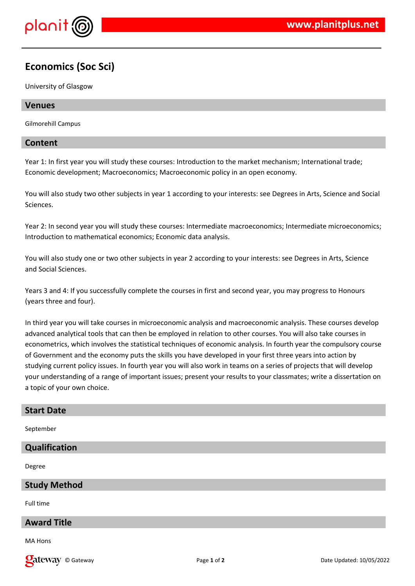

# **Economics (Soc Sci)**

University of Glasgow

## **Venues**

Gilmorehill Campus

## **Content**

Year 1: In first year you will study these courses: Introduction to the market mechanism; International trade; Economic development; Macroeconomics; Macroeconomic policy in an open economy.

You will also study two other subjects in year 1 according to your interests: see Degrees in Arts, Science and Social Sciences.

Year 2: In second year you will study these courses: Intermediate macroeconomics; Intermediate microeconomics; Introduction to mathematical economics; Economic data analysis.

You will also study one or two other subjects in year 2 according to your interests: see Degrees in Arts, Science and Social Sciences.

Years 3 and 4: If you successfully complete the courses in first and second year, you may progress to Honours (years three and four).

In third year you will take courses in microeconomic analysis and macroeconomic analysis. These courses develop advanced analytical tools that can then be employed in relation to other courses. You will also take courses in econometrics, which involves the statistical techniques of economic analysis. In fourth year the compulsory course of Government and the economy puts the skills you have developed in your first three years into action by studying current policy issues. In fourth year you will also work in teams on a series of projects that will develop your understanding of a range of important issues; present your results to your classmates; write a dissertation on a topic of your own choice.

#### **Start Date**

September

### **Qualification**

Degree

#### **Study Method**

Full time

# **Award Title**

MA Hons